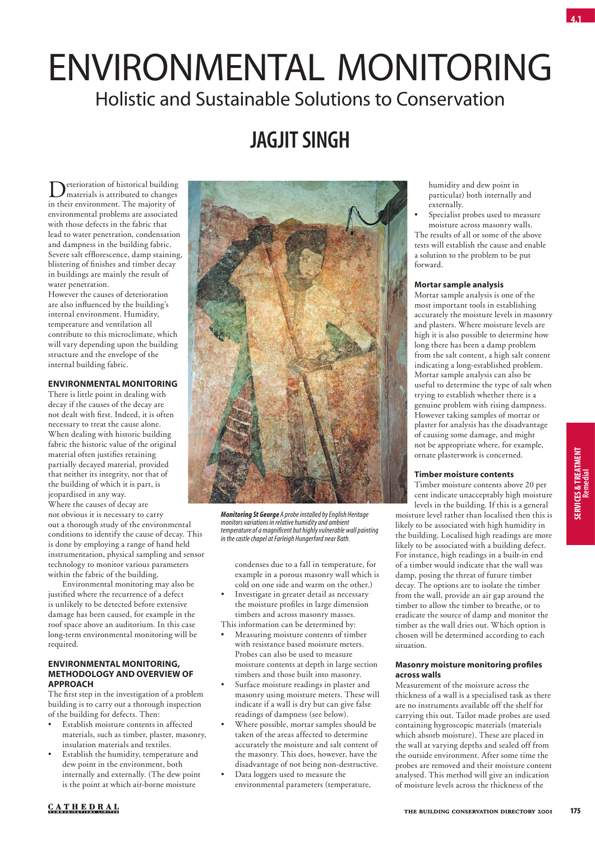# Environmental Monitoring Holistic and Sustainable Solutions to Conservation

## **Jagjit Singh**

Deterioration of historical building<br>materials is attributed to changes in their environment. The majority of environmental problems are associated with those defects in the fabric that lead to water penetration, condensation and dampness in the building fabric. Severe salt efflorescence, damp staining, blistering of finishes and timber decay in buildings are mainly the result of water penetration.

However the causes of deterioration are also influenced by the building's internal environment. Humidity, temperature and ventilation all contribute to this microclimate, which will vary depending upon the building structure and the envelope of the internal building fabric.

#### **Environmental monitoring**

There is little point in dealing with decay if the causes of the decay are not dealt with first. Indeed, it is often necessary to treat the cause alone. When dealing with historic building fabric the historic value of the original material often justifies retaining partially decayed material, provided that neither its integrity, nor that of the building of which it is part, is jeopardised in any way. Where the causes of decay are

not obvious it is necessary to carry out a thorough study of the environmental conditions to identify the cause of decay. This is done by employing a range of hand held instrumentation, physical sampling and sensor technology to monitor various parameters within the fabric of the building.

Environmental monitoring may also be justified where the recurrence of a defect is unlikely to be detected before extensive damage has been caused, for example in the roof space above an auditorium. In this case long-term environmental monitoring will be required.

#### **Environmental monitoring, methodology and overview of approach**

The first step in the investigation of a problem building is to carry out a thorough inspection of the building for defects. Then:

- Establish moisture contents in affected materials, such as timber, plaster, masonry, insulation materials and textiles.
- Establish the humidity, temperature and dew point in the environment, both internally and externally. (The dew point is the point at which air-borne moisture



*Monitoring St George A probe installed by English Heritage monitors variations in relative humidity and ambient temperature of a magnificent but highly vulnerable wall painting in the castle chapel at Farleigh Hungerford near Bath.*

condenses due to a fall in temperature, for example in a porous masonry wall which is cold on one side and warm on the other.)

- Investigate in greater detail as necessary the moisture profiles in large dimension timbers and across masonry masses.
- This information can be determined by: • Measuring moisture contents of timber with resistance based moisture meters. Probes can also be used to measure moisture contents at depth in large section
- timbers and those built into masonry. Surface moisture readings in plaster and masonry using moisture meters. These will indicate if a wall is dry but can give false readings of dampness (see below).
- Where possible, mortar samples should be taken of the areas affected to determine accurately the moisture and salt content of the masonry. This does, however, have the disadvantage of not being non-destructive.
- Data loggers used to measure the environmental parameters (temperature,

humidity and dew point in particular) both internally and externally.

Specialist probes used to measure moisture across masonry walls. The results of all or some of the above tests will establish the cause and enable a solution to the problem to be put

#### **Mortar sample analysis**

forward.

Mortar sample analysis is one of the most important tools in establishing accurately the moisture levels in masonry and plasters. Where moisture levels are high it is also possible to determine how long there has been a damp problem from the salt content, a high salt content indicating a long-established problem. Mortar sample analysis can also be useful to determine the type of salt when trying to establish whether there is a genuine problem with rising dampness. However taking samples of mortar or plaster for analysis has the disadvantage of causing some damage, and might not be appropriate where, for example, ornate plasterwork is concerned.

#### **Timber moisture contents**

Timber moisture contents above 20 per cent indicate unacceptably high moisture levels in the building. If this is a general

moisture level rather than localised then this is likely to be associated with high humidity in the building. Localised high readings are more likely to be associated with a building defect. For instance, high readings in a built-in end of a timber would indicate that the wall was damp, posing the threat of future timber decay. The options are to isolate the timber from the wall, provide an air gap around the timber to allow the timber to breathe, or to eradicate the source of damp and monitor the timber as the wall dries out. Which option is chosen will be determined according to each situation.

#### **Masonry moisture monitoring profiles across walls**

Measurement of the moisture across the thickness of a wall is a specialised task as there are no instruments available off the shelf for carrying this out. Tailor made probes are used containing hygroscopic materials (materials which absorb moisture). These are placed in the wall at varying depths and sealed off from the outside environment. After some time the probes are removed and their moisture content analysed. This method will give an indication of moisture levels across the thickness of the

**Services & Treatment**

SERVICES & TREATMENT<br>Remedial